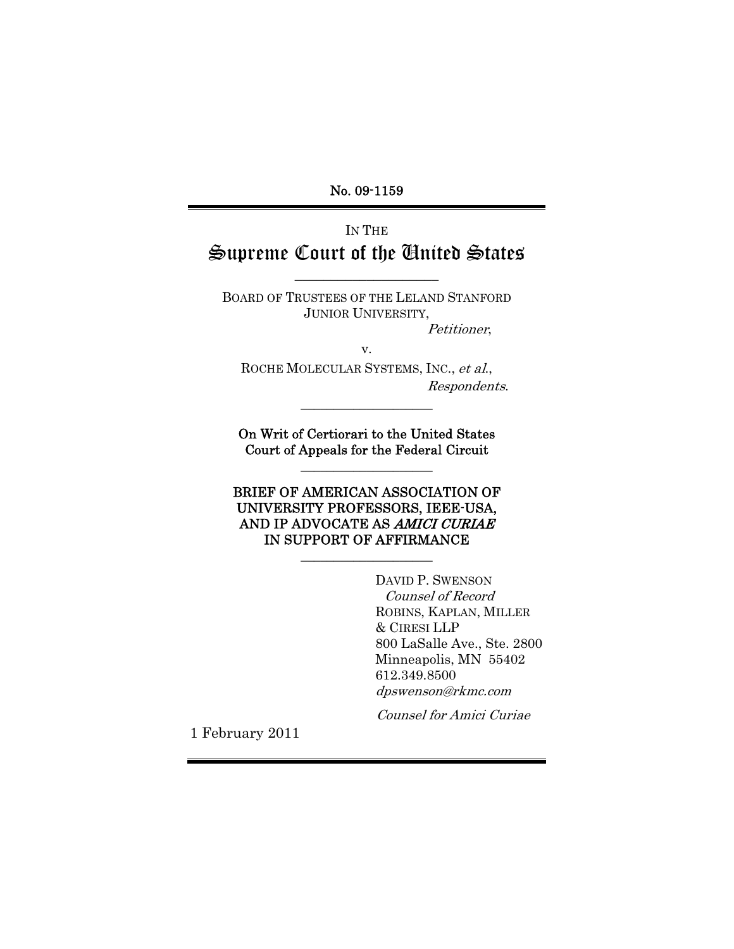No. 09-1159

Ξ IN THE Supreme Court of the United States

BOARD OF TRUSTEES OF THE LELAND STANFORD JUNIOR UNIVERSITY,

 $\_$ 

Petitioner,

v.

ROCHE MOLECULAR SYSTEMS, INC., et al., Respondents.

\_\_\_\_\_\_\_\_\_\_\_\_\_\_\_\_\_\_\_\_

On Writ of Certiorari to the United States Court of Appeals for the Federal Circuit \_\_\_\_\_\_\_\_\_\_\_\_\_\_\_\_\_\_\_\_

BRIEF OF AMERICAN ASSOCIATION OF UNIVERSITY PROFESSORS, IEEE-USA, AND IP ADVOCATE AS AMICI CURIAE IN SUPPORT OF AFFIRMANCE

\_\_\_\_\_\_\_\_\_\_\_\_\_\_\_\_\_\_\_\_

DAVID P. SWENSON Counsel of Record ROBINS, KAPLAN, MILLER & CIRESI LLP 800 LaSalle Ave., Ste. 2800 Minneapolis, MN 55402 612.349.8500 dpswenson@rkmc.com

Counsel for Amici Curiae

1 February 2011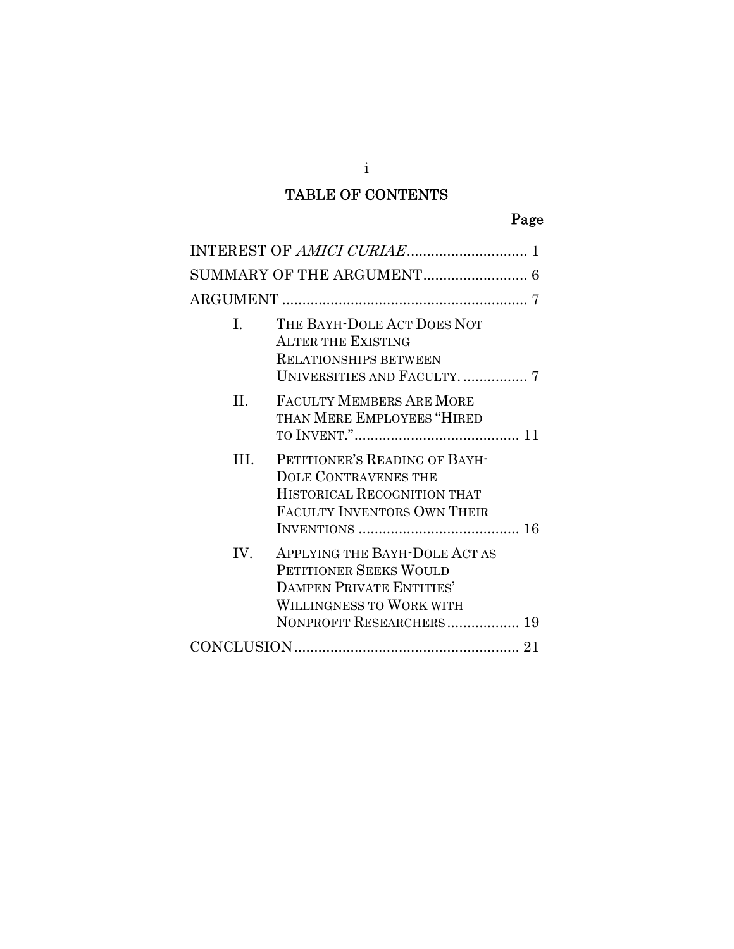# TABLE OF CONTENTS

|--|

| $\mathbf{L}$ | THE BAYH-DOLE ACT DOES NOT<br><b>ALTER THE EXISTING</b><br><b>RELATIONSHIPS BETWEEN</b>                                                                   |
|--------------|-----------------------------------------------------------------------------------------------------------------------------------------------------------|
| H.           | FACULTY MEMBERS ARE MORE<br>THAN MERE EMPLOYEES "HIRED                                                                                                    |
| III.         | PETITIONER'S READING OF BAYH-<br><b>DOLE CONTRAVENES THE</b><br>HISTORICAL RECOGNITION THAT<br>FACULTY INVENTORS OWN THEIR                                |
| IV.          | APPLYING THE BAYH-DOLE ACT AS<br>PETITIONER SEEKS WOULD<br><b>DAMPEN PRIVATE ENTITIES'</b><br><b>WILLINGNESS TO WORK WITH</b><br>NONPROFIT RESEARCHERS 19 |
|              |                                                                                                                                                           |

i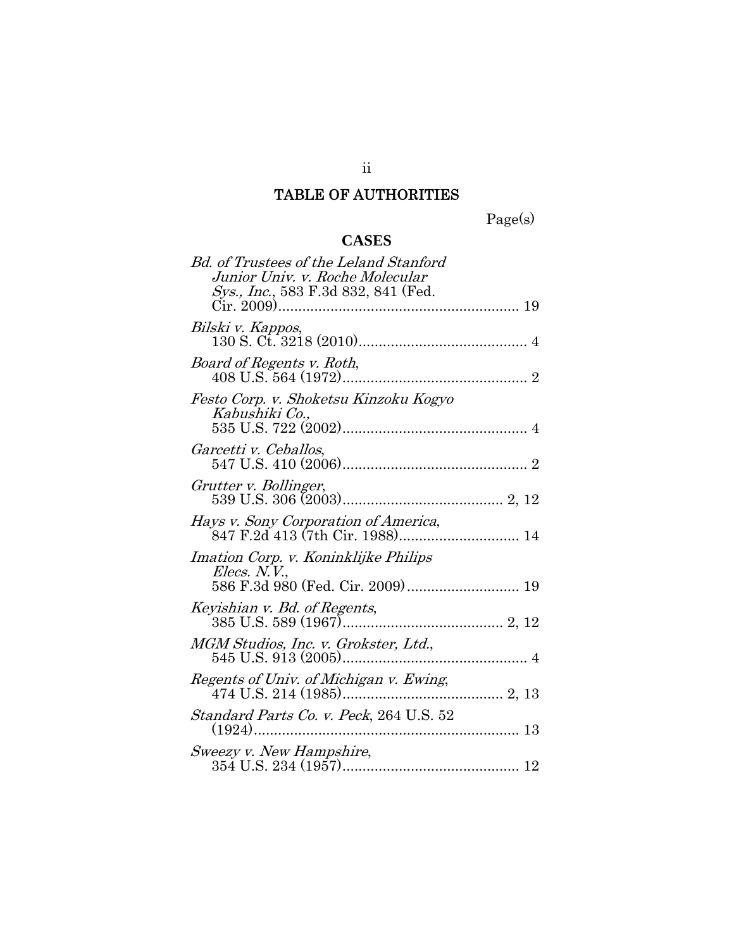# TABLE OF AUTHORITIES

Page(s)

# **CASES**

| <b>Bd.</b> of Trustees of the Leland Stanford<br>Junior Univ. v. Roche Molecular |
|----------------------------------------------------------------------------------|
| Sys., Inc., 583 F.3d 832, 841 (Fed.                                              |
| Bilski v. Kappos,                                                                |
| Board of Regents v. Roth,                                                        |
| Festo Corp. v. Shoketsu Kinzoku Kogyo<br>Kabushiki Co.,                          |
| Garcetti v. Ceballos,                                                            |
| Grutter v. Bollinger,                                                            |
| Hays v. Sony Corporation of America,<br>847 F.2d 413 (7th Cir. 1988) 14          |
| Imation Corp. v. Koninklijke Philips<br>Elecs. N.V.,                             |
| Keyishian v. Bd. of Regents,                                                     |
| MGM Studios, Inc. v. Grokster, Ltd.,                                             |
| Regents of Univ. of Michigan v. Ewing,                                           |
| Standard Parts Co. v. Peck, 264 U.S. 52<br>$(1924)$                              |
| Sweezy v. New Hampshire,                                                         |

ii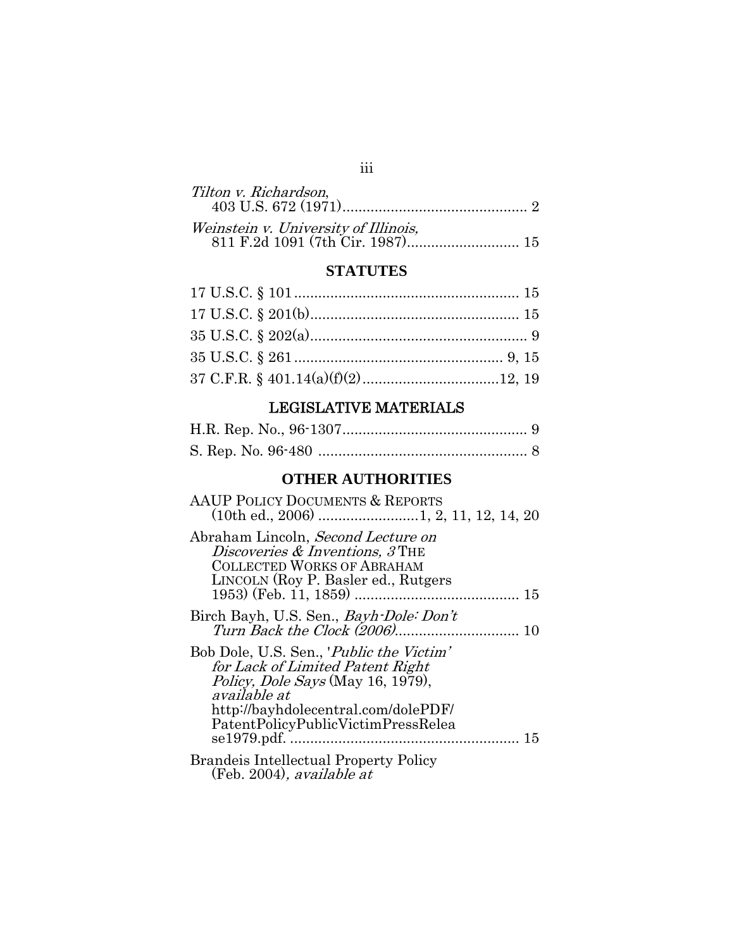## iii

## **STATUTES**

# LEGISLATIVE MATERIALS

## **OTHER AUTHORITIES**

| <b>AAUP POLICY DOCUMENTS &amp; REPORTS</b>                                                                                                                                                                          |
|---------------------------------------------------------------------------------------------------------------------------------------------------------------------------------------------------------------------|
| Abraham Lincoln, Second Lecture on<br>Discoveries & Inventions, 3 THE<br><b>COLLECTED WORKS OF ABRAHAM</b><br>LINCOLN (Roy P. Basler ed., Rutgers                                                                   |
| Birch Bayh, U.S. Sen., <i>Bayh-Dole: Don't</i>                                                                                                                                                                      |
| Bob Dole, U.S. Sen., <i>Public the Victim</i><br>for Lack of Limited Patent Right<br>Policy, Dole Says (May 16, 1979),<br>available at<br>http://bayhdolecentral.com/dolePDF/<br>PatentPolicyPublicVictimPressRelea |
| <b>Brandeis Intellectual Property Policy</b><br>(Feb. 2004), available at                                                                                                                                           |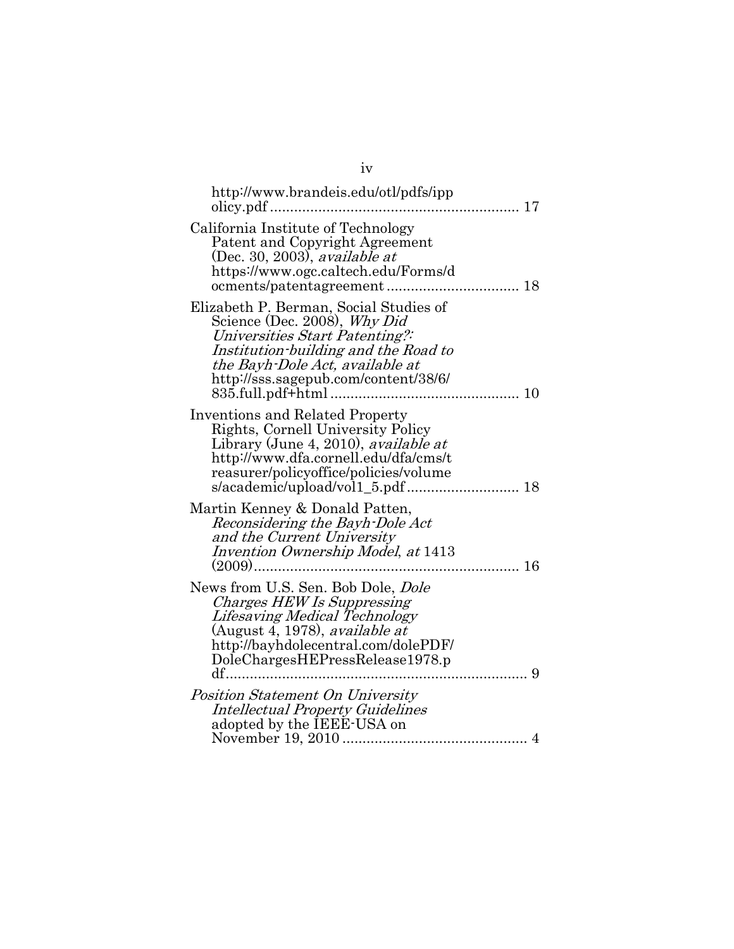| http://www.brandeis.edu/otl/pdfs/ipp<br>olicy.pdf                                                                                                                                                                           |  |
|-----------------------------------------------------------------------------------------------------------------------------------------------------------------------------------------------------------------------------|--|
| California Institute of Technology<br>Patent and Copyright Agreement<br>(Dec. 30, 2003), <i>available at</i><br>https://www.ogc.caltech.edu/Forms/d                                                                         |  |
| Elizabeth P. Berman, Social Studies of<br>Science (Dec. 2008), Why Did<br>Universities Start Patenting?:<br>Institution-building and the Road to<br>the Bayh-Dole Act, available at<br>http://sss.sagepub.com/content/38/6/ |  |
| <b>Inventions and Related Property</b><br>Rights, Cornell University Policy<br>Library (June 4, 2010), <i>available at</i><br>http://www.dfa.cornell.edu/dfa/cms/t<br>reasurer/policyoffice/policies/volume                 |  |
| Martin Kenney & Donald Patten,<br>Reconsidering the Bayh-Dole Act<br>and the Current University<br>Invention Ownership Model, at 1413<br>$(2009)$<br>16                                                                     |  |
| News from U.S. Sen. Bob Dole, Dole<br>Charges HEW Is Suppressing<br>Lifesaving Medical Technology<br>(August 4, 1978), <i>available at</i><br>http://bayhdolecentral.com/dolePDF/<br>DoleChargesHEPressRelease1978.p<br>9   |  |
| Position Statement On University<br><b>Intellectual Property Guidelines</b><br>adopted by the IEEE-USA on                                                                                                                   |  |

| ×<br>٠ |    |  |
|--------|----|--|
|        | e. |  |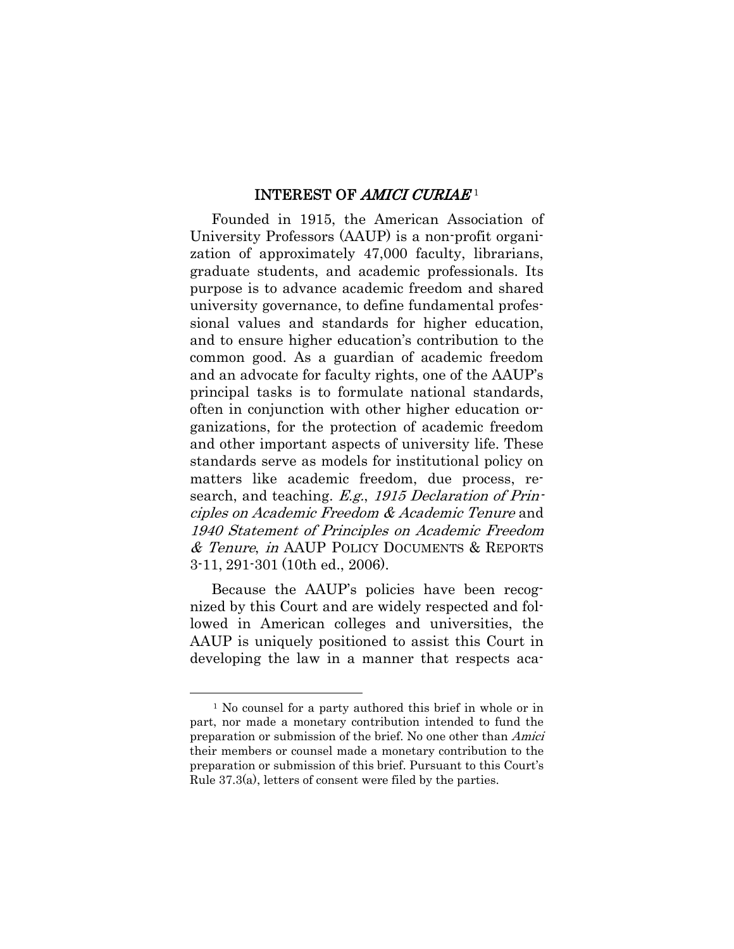#### INTEREST OF AMICI CURIAE<sup>1</sup>

Founded in 1915, the American Association of University Professors (AAUP) is a non-profit organization of approximately 47,000 faculty, librarians, graduate students, and academic professionals. Its purpose is to advance academic freedom and shared university governance, to define fundamental professional values and standards for higher education, and to ensure higher education's contribution to the common good. As a guardian of academic freedom and an advocate for faculty rights, one of the AAUP's principal tasks is to formulate national standards, often in conjunction with other higher education organizations, for the protection of academic freedom and other important aspects of university life. These standards serve as models for institutional policy on matters like academic freedom, due process, research, and teaching. E.g., 1915 Declaration of Principles on Academic Freedom & Academic Tenure and 1940 Statement of Principles on Academic Freedom & Tenure, in AAUP POLICY DOCUMENTS & REPORTS 3-11, 291-301 (10th ed., 2006).

Because the AAUP's policies have been recognized by this Court and are widely respected and followed in American colleges and universities, the AAUP is uniquely positioned to assist this Court in developing the law in a manner that respects aca-

 $\overline{a}$ 

<sup>1</sup> No counsel for a party authored this brief in whole or in part, nor made a monetary contribution intended to fund the preparation or submission of the brief. No one other than Amici their members or counsel made a monetary contribution to the preparation or submission of this brief. Pursuant to this Court's Rule 37.3(a), letters of consent were filed by the parties.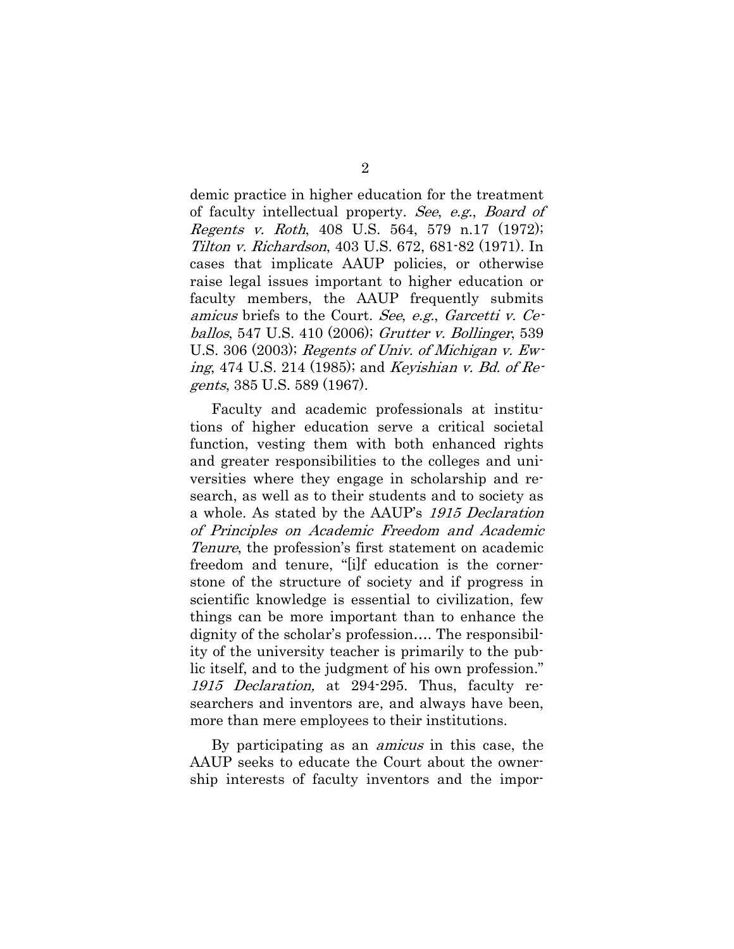demic practice in higher education for the treatment of faculty intellectual property. See, e.g., Board of Regents v. Roth, 408 U.S. 564, 579 n.17 (1972); Tilton v. Richardson, 403 U.S. 672, 681-82 (1971). In cases that implicate AAUP policies, or otherwise raise legal issues important to higher education or faculty members, the AAUP frequently submits amicus briefs to the Court. See, e.g., Garcetti v. Ceballos, 547 U.S. 410 (2006); Grutter v. Bollinger, 539 U.S. 306 (2003); Regents of Univ. of Michigan v. Ewing, 474 U.S. 214 (1985); and Keyishian v. Bd. of Regents, 385 U.S. 589 (1967).

Faculty and academic professionals at institutions of higher education serve a critical societal function, vesting them with both enhanced rights and greater responsibilities to the colleges and universities where they engage in scholarship and research, as well as to their students and to society as a whole. As stated by the AAUP's 1915 Declaration of Principles on Academic Freedom and Academic Tenure, the profession's first statement on academic freedom and tenure, "[i]f education is the cornerstone of the structure of society and if progress in scientific knowledge is essential to civilization, few things can be more important than to enhance the dignity of the scholar's profession…. The responsibility of the university teacher is primarily to the public itself, and to the judgment of his own profession." 1915 Declaration, at 294-295. Thus, faculty researchers and inventors are, and always have been, more than mere employees to their institutions.

By participating as an amicus in this case, the AAUP seeks to educate the Court about the ownership interests of faculty inventors and the impor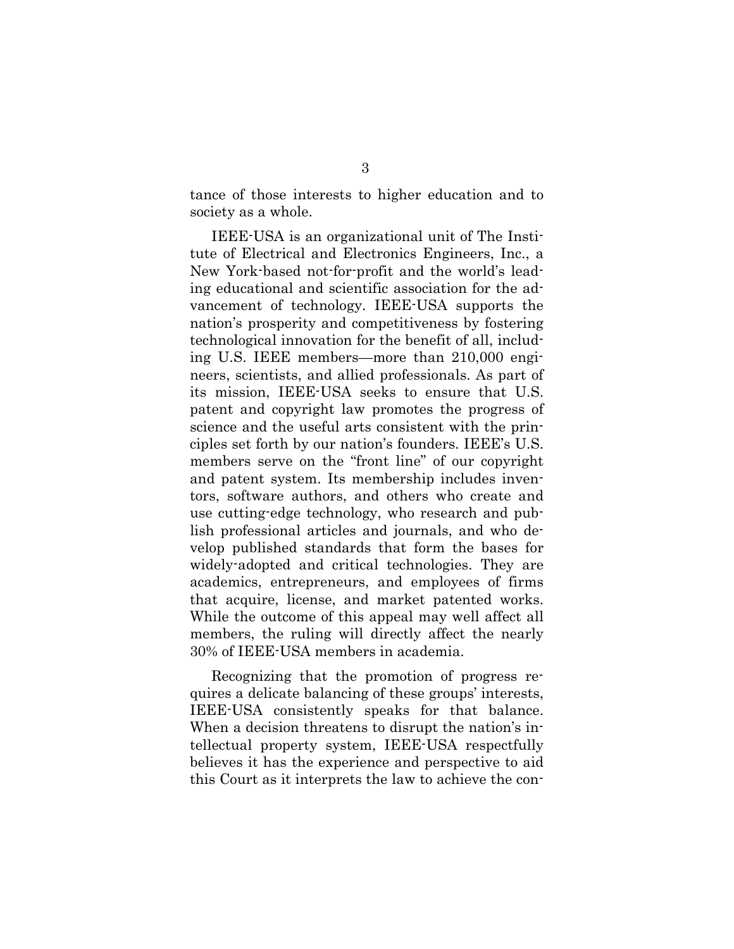tance of those interests to higher education and to society as a whole.

IEEE-USA is an organizational unit of The Institute of Electrical and Electronics Engineers, Inc., a New York-based not-for-profit and the world's leading educational and scientific association for the advancement of technology. IEEE-USA supports the nation's prosperity and competitiveness by fostering technological innovation for the benefit of all, including U.S. IEEE members—more than 210,000 engineers, scientists, and allied professionals. As part of its mission, IEEE-USA seeks to ensure that U.S. patent and copyright law promotes the progress of science and the useful arts consistent with the principles set forth by our nation's founders. IEEE's U.S. members serve on the "front line" of our copyright and patent system. Its membership includes inventors, software authors, and others who create and use cutting-edge technology, who research and publish professional articles and journals, and who develop published standards that form the bases for widely-adopted and critical technologies. They are academics, entrepreneurs, and employees of firms that acquire, license, and market patented works. While the outcome of this appeal may well affect all members, the ruling will directly affect the nearly 30% of IEEE-USA members in academia.

Recognizing that the promotion of progress requires a delicate balancing of these groups' interests, IEEE-USA consistently speaks for that balance. When a decision threatens to disrupt the nation's intellectual property system, IEEE-USA respectfully believes it has the experience and perspective to aid this Court as it interprets the law to achieve the con-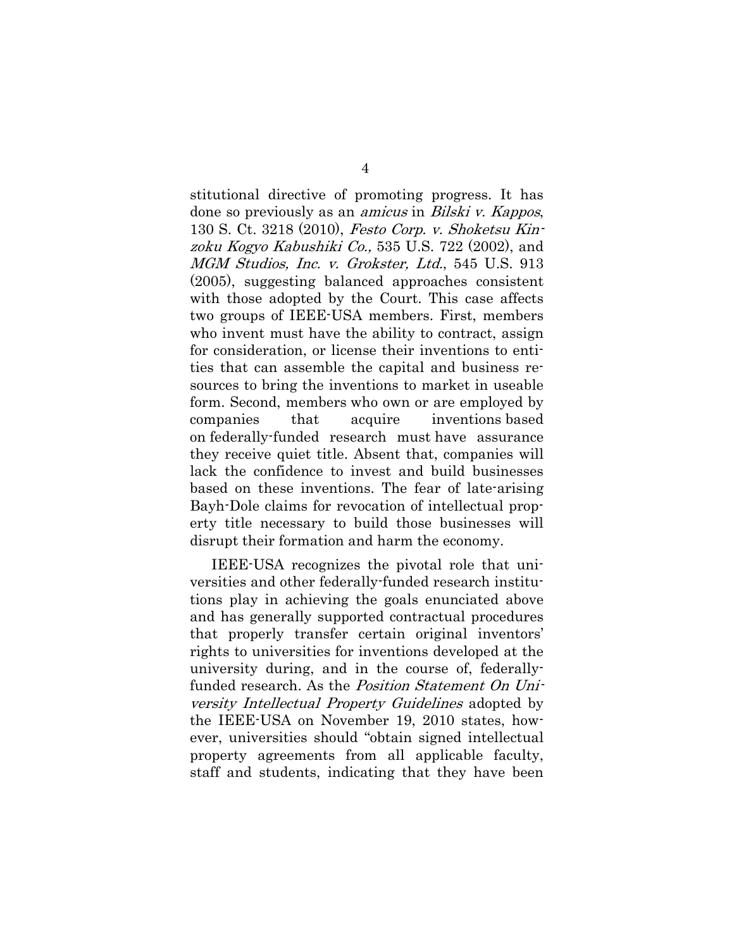stitutional directive of promoting progress. It has done so previously as an amicus in Bilski v. Kappos, 130 S. Ct. 3218 (2010), Festo Corp. v. Shoketsu Kinzoku Kogyo Kabushiki Co., 535 U.S. 722 (2002), and MGM Studios, Inc. v. Grokster, Ltd., 545 U.S. 913 (2005), suggesting balanced approaches consistent with those adopted by the Court. This case affects two groups of IEEE-USA members. First, members who invent must have the ability to contract, assign for consideration, or license their inventions to entities that can assemble the capital and business resources to bring the inventions to market in useable form. Second, members who own or are employed by companies that acquire inventions based on federally-funded research must have assurance they receive quiet title. Absent that, companies will lack the confidence to invest and build businesses based on these inventions. The fear of late-arising Bayh-Dole claims for revocation of intellectual property title necessary to build those businesses will disrupt their formation and harm the economy.

IEEE-USA recognizes the pivotal role that universities and other federally-funded research institutions play in achieving the goals enunciated above and has generally supported contractual procedures that properly transfer certain original inventors' rights to universities for inventions developed at the university during, and in the course of, federallyfunded research. As the *Position Statement On Uni*versity Intellectual Property Guidelines adopted by the IEEE-USA on November 19, 2010 states, however, universities should "obtain signed intellectual property agreements from all applicable faculty, staff and students, indicating that they have been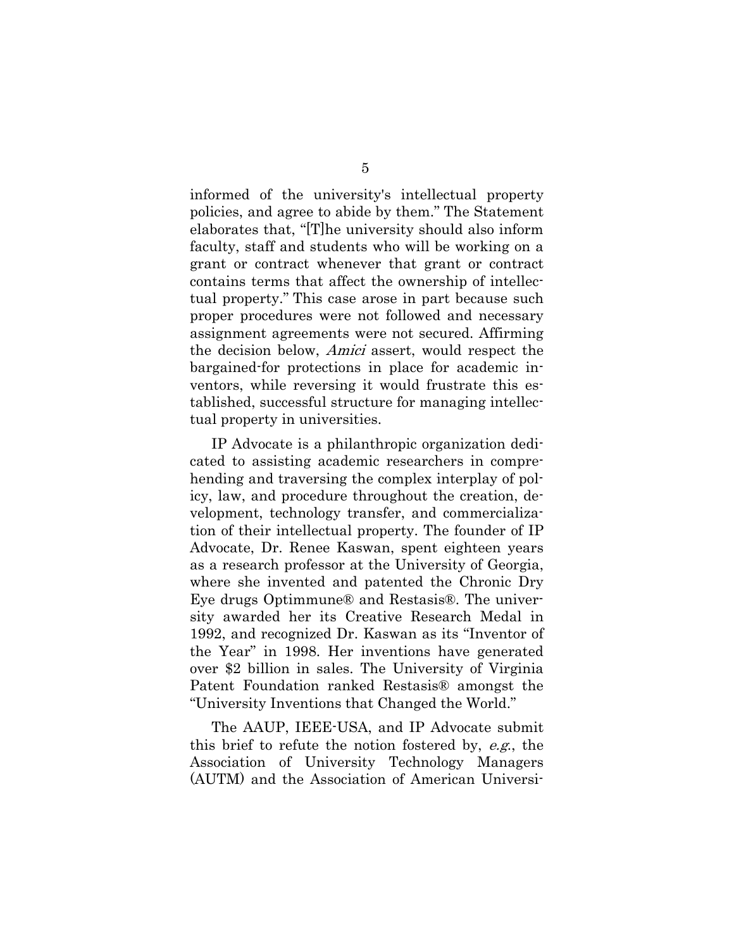informed of the university's intellectual property policies, and agree to abide by them." The Statement elaborates that, "[T]he university should also inform faculty, staff and students who will be working on a grant or contract whenever that grant or contract contains terms that affect the ownership of intellectual property." This case arose in part because such proper procedures were not followed and necessary assignment agreements were not secured. Affirming the decision below, Amici assert, would respect the bargained-for protections in place for academic inventors, while reversing it would frustrate this established, successful structure for managing intellectual property in universities.

IP Advocate is a philanthropic organization dedicated to assisting academic researchers in comprehending and traversing the complex interplay of policy, law, and procedure throughout the creation, development, technology transfer, and commercialization of their intellectual property. The founder of IP Advocate, Dr. Renee Kaswan, spent eighteen years as a research professor at the University of Georgia, where she invented and patented the Chronic Dry Eye drugs Optimmune® and Restasis®. The university awarded her its Creative Research Medal in 1992, and recognized Dr. Kaswan as its "Inventor of the Year" in 1998. Her inventions have generated over \$2 billion in sales. The University of Virginia Patent Foundation ranked Restasis® amongst the "University Inventions that Changed the World."

The AAUP, IEEE-USA, and IP Advocate submit this brief to refute the notion fostered by, e.g., the Association of University Technology Managers (AUTM) and the Association of American Universi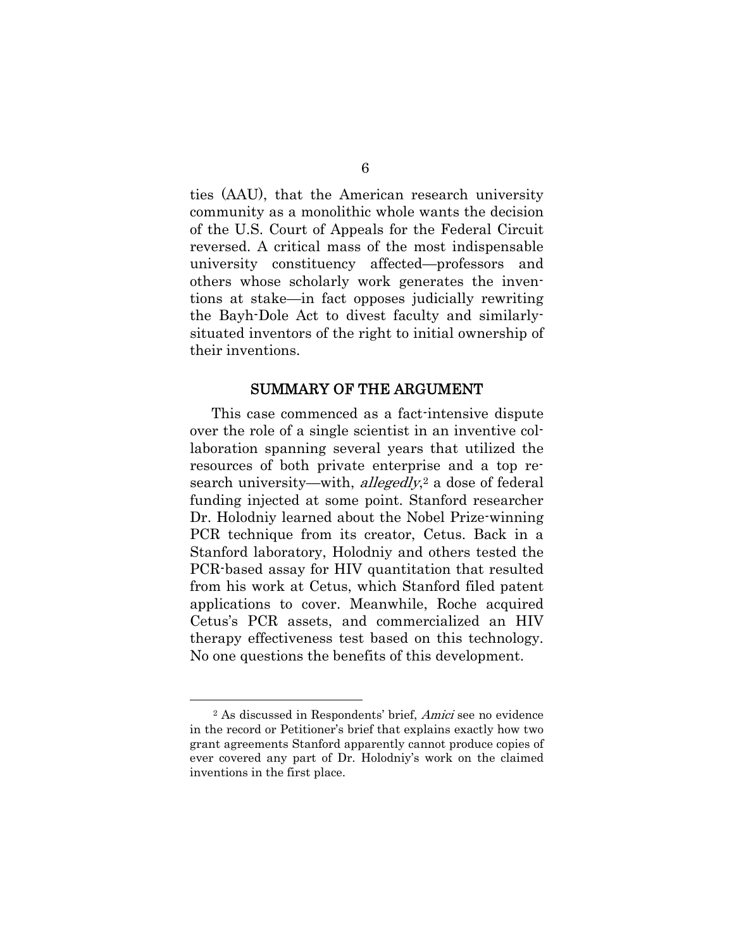ties (AAU), that the American research university community as a monolithic whole wants the decision of the U.S. Court of Appeals for the Federal Circuit reversed. A critical mass of the most indispensable university constituency affected—professors and others whose scholarly work generates the inventions at stake—in fact opposes judicially rewriting the Bayh-Dole Act to divest faculty and similarlysituated inventors of the right to initial ownership of their inventions.

#### SUMMARY OF THE ARGUMENT

This case commenced as a fact-intensive dispute over the role of a single scientist in an inventive collaboration spanning several years that utilized the resources of both private enterprise and a top research university—with, *allegedly*,<sup>2</sup> a dose of federal funding injected at some point. Stanford researcher Dr. Holodniy learned about the Nobel Prize-winning PCR technique from its creator, Cetus. Back in a Stanford laboratory, Holodniy and others tested the PCR-based assay for HIV quantitation that resulted from his work at Cetus, which Stanford filed patent applications to cover. Meanwhile, Roche acquired Cetus's PCR assets, and commercialized an HIV therapy effectiveness test based on this technology. No one questions the benefits of this development.

 $\overline{a}$ 

<sup>2</sup> As discussed in Respondents' brief, Amici see no evidence in the record or Petitioner's brief that explains exactly how two grant agreements Stanford apparently cannot produce copies of ever covered any part of Dr. Holodniy's work on the claimed inventions in the first place.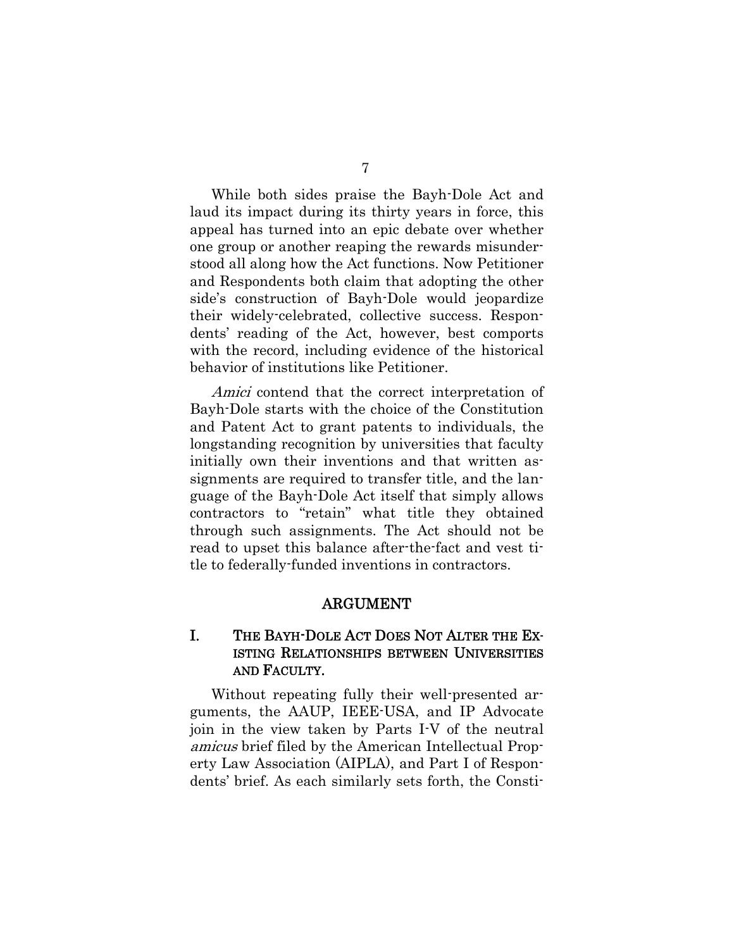While both sides praise the Bayh-Dole Act and laud its impact during its thirty years in force, this appeal has turned into an epic debate over whether one group or another reaping the rewards misunderstood all along how the Act functions. Now Petitioner and Respondents both claim that adopting the other side's construction of Bayh-Dole would jeopardize their widely-celebrated, collective success. Respondents' reading of the Act, however, best comports with the record, including evidence of the historical behavior of institutions like Petitioner.

Amici contend that the correct interpretation of Bayh-Dole starts with the choice of the Constitution and Patent Act to grant patents to individuals, the longstanding recognition by universities that faculty initially own their inventions and that written assignments are required to transfer title, and the language of the Bayh-Dole Act itself that simply allows contractors to "retain" what title they obtained through such assignments. The Act should not be read to upset this balance after-the-fact and vest title to federally-funded inventions in contractors.

#### ARGUMENT

## I. THE BAYH-DOLE ACT DOES NOT ALTER THE EX-ISTING RELATIONSHIPS BETWEEN UNIVERSITIES AND FACULTY.

Without repeating fully their well-presented arguments, the AAUP, IEEE-USA, and IP Advocate join in the view taken by Parts I-V of the neutral amicus brief filed by the American Intellectual Property Law Association (AIPLA), and Part I of Respondents' brief. As each similarly sets forth, the Consti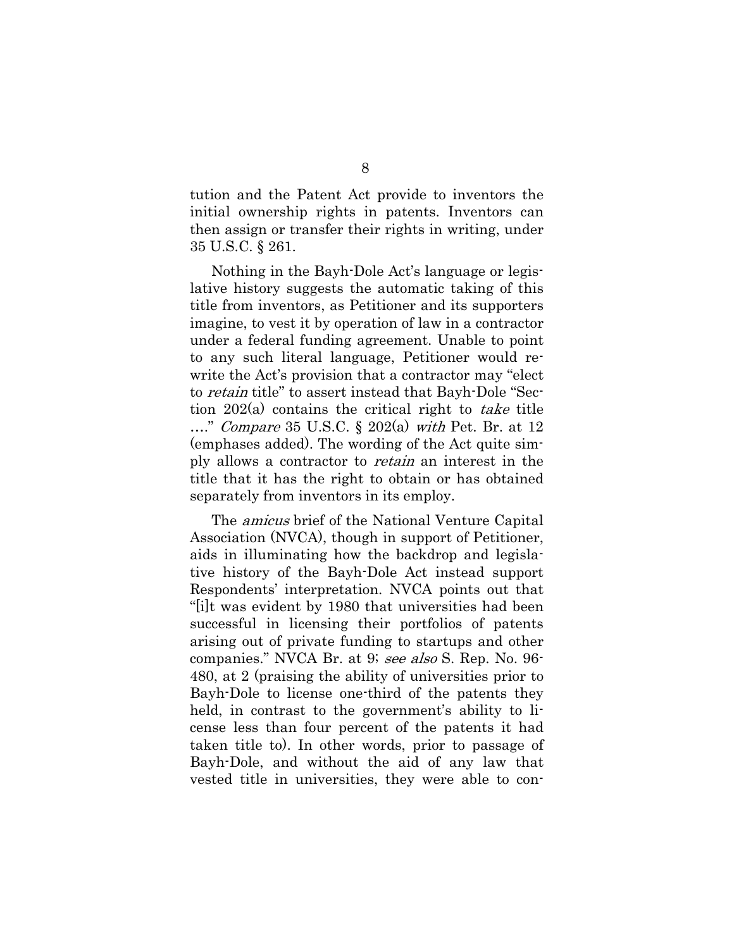tution and the Patent Act provide to inventors the initial ownership rights in patents. Inventors can then assign or transfer their rights in writing, under 35 U.S.C. § 261.

Nothing in the Bayh-Dole Act's language or legislative history suggests the automatic taking of this title from inventors, as Petitioner and its supporters imagine, to vest it by operation of law in a contractor under a federal funding agreement. Unable to point to any such literal language, Petitioner would rewrite the Act's provision that a contractor may "elect to retain title" to assert instead that Bayh-Dole "Section 202(a) contains the critical right to take title  $\ldots$ " *Compare* 35 U.S.C. § 202(a) with Pet. Br. at 12 (emphases added). The wording of the Act quite simply allows a contractor to retain an interest in the title that it has the right to obtain or has obtained separately from inventors in its employ.

The amicus brief of the National Venture Capital Association (NVCA), though in support of Petitioner, aids in illuminating how the backdrop and legislative history of the Bayh-Dole Act instead support Respondents' interpretation. NVCA points out that "[i]t was evident by 1980 that universities had been successful in licensing their portfolios of patents arising out of private funding to startups and other companies." NVCA Br. at 9; see also S. Rep. No. 96- 480, at 2 (praising the ability of universities prior to Bayh-Dole to license one-third of the patents they held, in contrast to the government's ability to license less than four percent of the patents it had taken title to). In other words, prior to passage of Bayh-Dole, and without the aid of any law that vested title in universities, they were able to con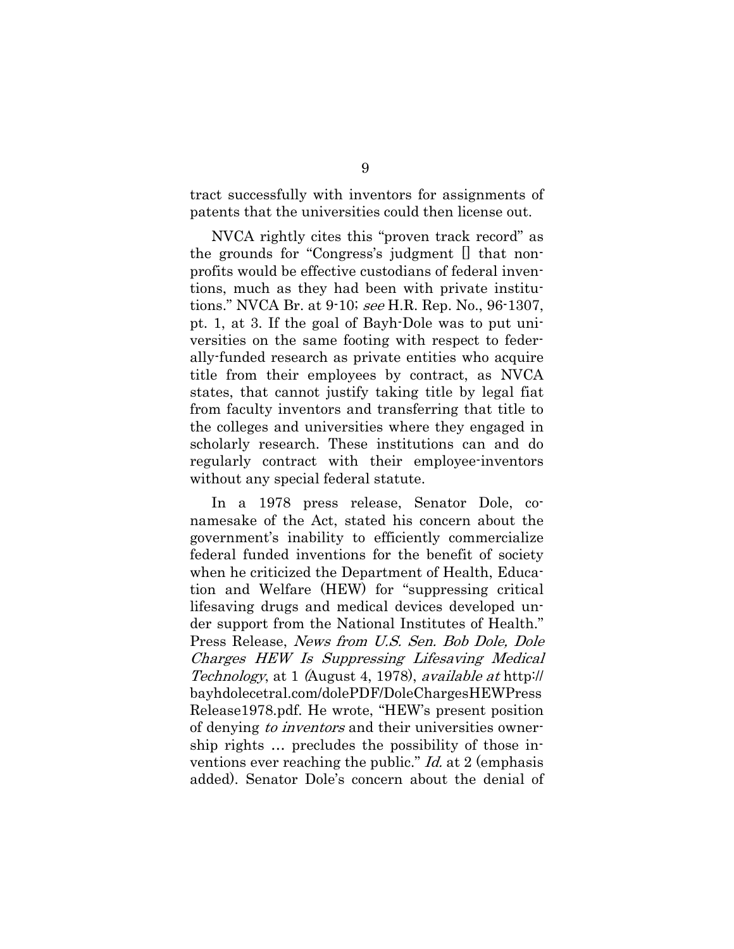tract successfully with inventors for assignments of patents that the universities could then license out.

NVCA rightly cites this "proven track record" as the grounds for "Congress's judgment [] that nonprofits would be effective custodians of federal inventions, much as they had been with private institutions." NVCA Br. at 9-10; see H.R. Rep. No., 96-1307, pt. 1, at 3. If the goal of Bayh-Dole was to put universities on the same footing with respect to federally-funded research as private entities who acquire title from their employees by contract, as NVCA states, that cannot justify taking title by legal fiat from faculty inventors and transferring that title to the colleges and universities where they engaged in scholarly research. These institutions can and do regularly contract with their employee-inventors without any special federal statute.

In a 1978 press release, Senator Dole, conamesake of the Act, stated his concern about the government's inability to efficiently commercialize federal funded inventions for the benefit of society when he criticized the Department of Health, Education and Welfare (HEW) for "suppressing critical lifesaving drugs and medical devices developed under support from the National Institutes of Health." Press Release, News from U.S. Sen. Bob Dole, Dole Charges HEW Is Suppressing Lifesaving Medical Technology, at 1 (August 4, 1978), available at http:// bayhdolecetral.com/dolePDF/DoleChargesHEWPress Release1978.pdf. He wrote, "HEW's present position of denying *to inventors* and their universities ownership rights … precludes the possibility of those inventions ever reaching the public."  $Id$  at 2 (emphasis added). Senator Dole's concern about the denial of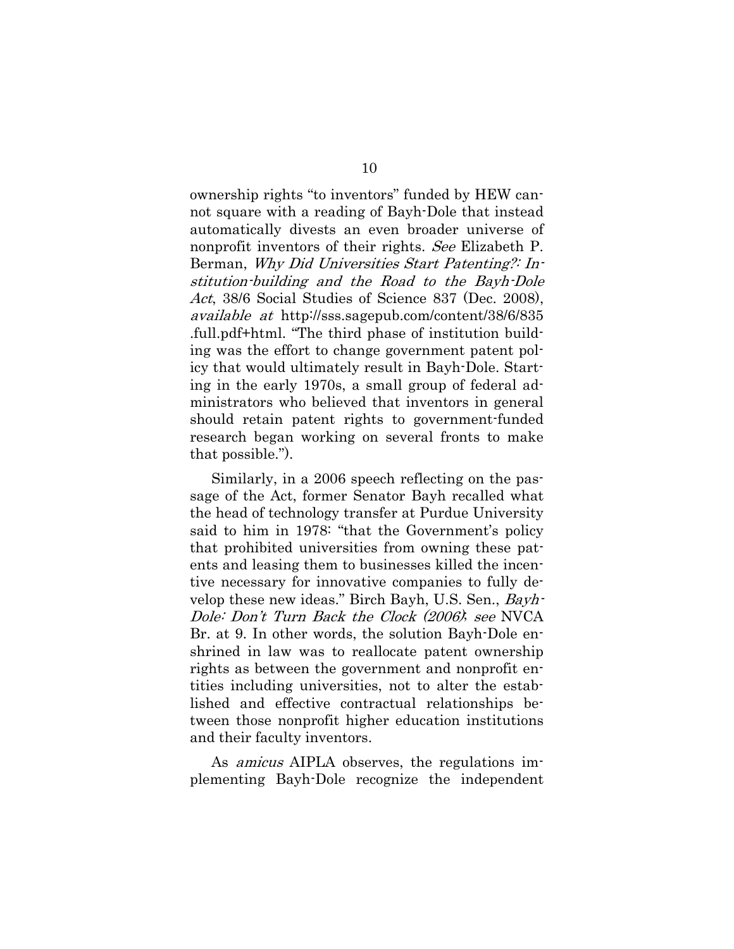ownership rights "to inventors" funded by HEW cannot square with a reading of Bayh-Dole that instead automatically divests an even broader universe of nonprofit inventors of their rights. See Elizabeth P. Berman, Why Did Universities Start Patenting?: Institution-building and the Road to the Bayh-Dole Act, 38/6 Social Studies of Science 837 (Dec. 2008), available at http://sss.sagepub.com/content/38/6/835 .full.pdf+html. "The third phase of institution building was the effort to change government patent policy that would ultimately result in Bayh-Dole. Starting in the early 1970s, a small group of federal administrators who believed that inventors in general should retain patent rights to government-funded research began working on several fronts to make that possible.").

Similarly, in a 2006 speech reflecting on the passage of the Act, former Senator Bayh recalled what the head of technology transfer at Purdue University said to him in 1978: "that the Government's policy that prohibited universities from owning these patents and leasing them to businesses killed the incentive necessary for innovative companies to fully develop these new ideas." Birch Bayh, U.S. Sen., Bayh-Dole: Don't Turn Back the Clock (2006); see NVCA Br. at 9. In other words, the solution Bayh-Dole enshrined in law was to reallocate patent ownership rights as between the government and nonprofit entities including universities, not to alter the established and effective contractual relationships between those nonprofit higher education institutions and their faculty inventors.

As amicus AIPLA observes, the regulations implementing Bayh-Dole recognize the independent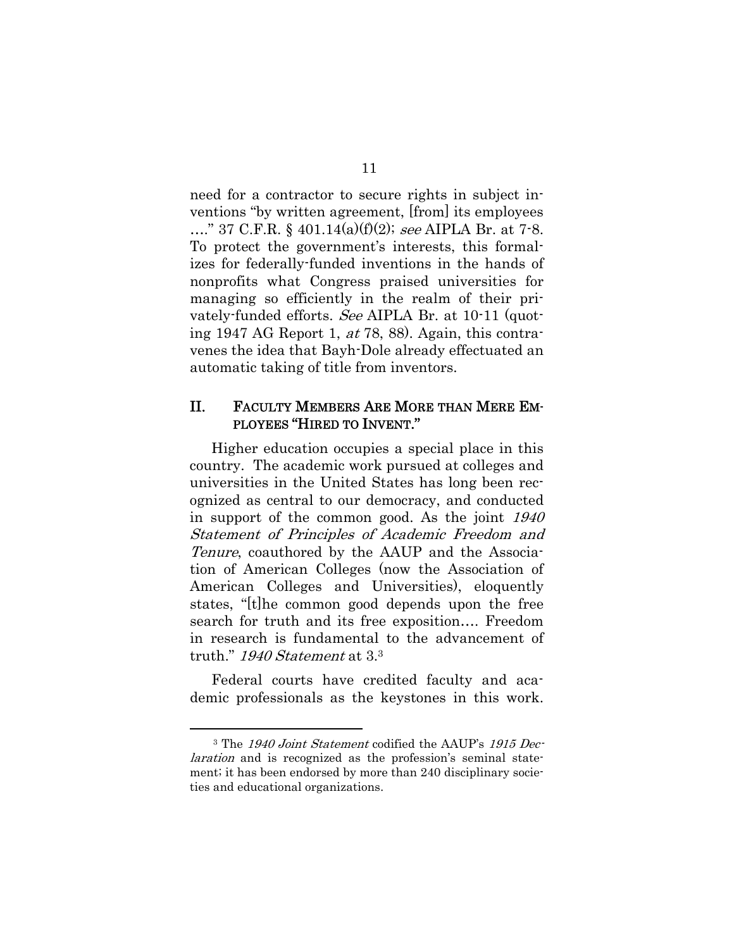need for a contractor to secure rights in subject inventions "by written agreement, [from] its employees ...." 37 C.F.R. § 401.14(a)(f)(2); see AIPLA Br. at 7-8. To protect the government's interests, this formalizes for federally-funded inventions in the hands of nonprofits what Congress praised universities for managing so efficiently in the realm of their privately-funded efforts. See AIPLA Br. at 10-11 (quoting 1947 AG Report 1, at 78, 88). Again, this contravenes the idea that Bayh-Dole already effectuated an automatic taking of title from inventors.

#### II. FACULTY MEMBERS ARE MORE THAN MERE EM-PLOYEES "HIRED TO INVENT."

Higher education occupies a special place in this country. The academic work pursued at colleges and universities in the United States has long been recognized as central to our democracy, and conducted in support of the common good. As the joint 1940 Statement of Principles of Academic Freedom and Tenure, coauthored by the AAUP and the Association of American Colleges (now the Association of American Colleges and Universities), eloquently states, "[t]he common good depends upon the free search for truth and its free exposition…. Freedom in research is fundamental to the advancement of truth." 1940 Statement at 3.<sup>3</sup>

Federal courts have credited faculty and academic professionals as the keystones in this work.

 $\overline{a}$ 

<sup>&</sup>lt;sup>3</sup> The 1940 Joint Statement codified the AAUP's 1915 Declaration and is recognized as the profession's seminal statement; it has been endorsed by more than 240 disciplinary societies and educational organizations.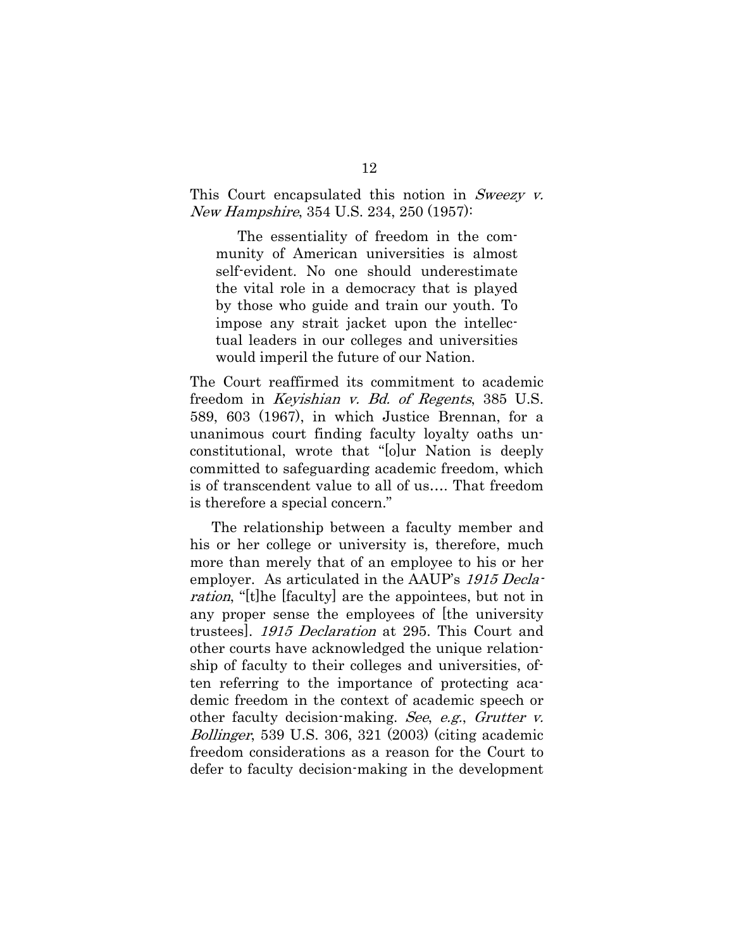This Court encapsulated this notion in Sweezy v. New Hampshire, 354 U.S. 234, 250 (1957):

The essentiality of freedom in the community of American universities is almost self-evident. No one should underestimate the vital role in a democracy that is played by those who guide and train our youth. To impose any strait jacket upon the intellectual leaders in our colleges and universities would imperil the future of our Nation.

The Court reaffirmed its commitment to academic freedom in Keyishian v. Bd. of Regents, 385 U.S. 589, 603 (1967), in which Justice Brennan, for a unanimous court finding faculty loyalty oaths unconstitutional, wrote that "[o]ur Nation is deeply committed to safeguarding academic freedom, which is of transcendent value to all of us…. That freedom is therefore a special concern."

The relationship between a faculty member and his or her college or university is, therefore, much more than merely that of an employee to his or her employer. As articulated in the AAUP's 1915 Declaration, "[t]he [faculty] are the appointees, but not in any proper sense the employees of [the university trustees]. 1915 Declaration at 295. This Court and other courts have acknowledged the unique relationship of faculty to their colleges and universities, often referring to the importance of protecting academic freedom in the context of academic speech or other faculty decision-making. See, e.g., Grutter v. Bollinger, 539 U.S. 306, 321 (2003) (citing academic freedom considerations as a reason for the Court to defer to faculty decision-making in the development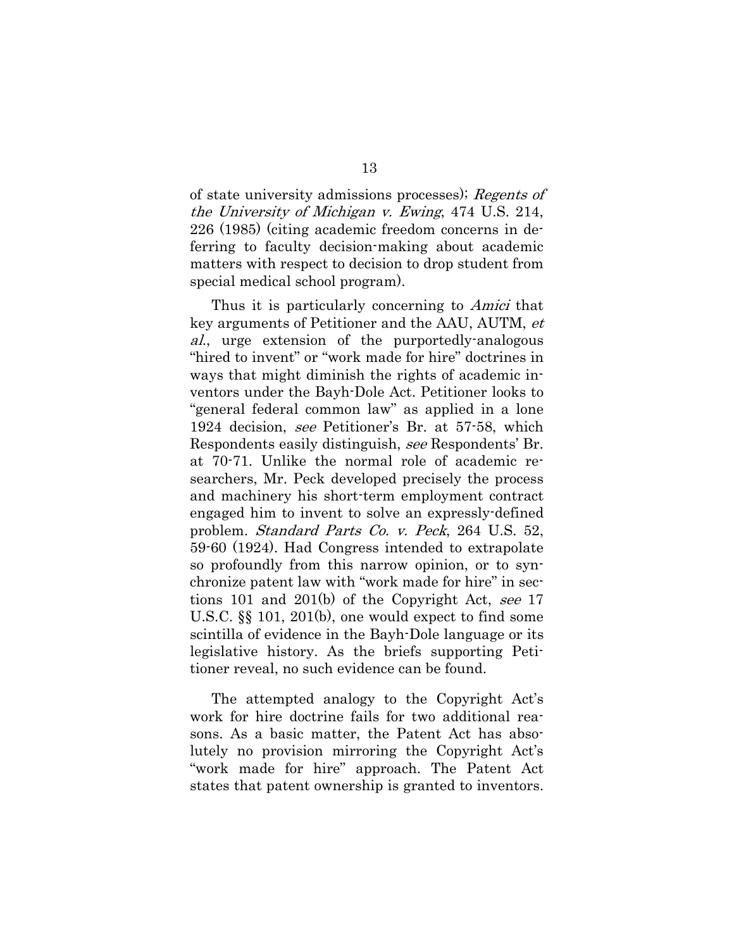of state university admissions processes); Regents of the University of Michigan v. Ewing, 474 U.S. 214, 226 (1985) (citing academic freedom concerns in deferring to faculty decision-making about academic matters with respect to decision to drop student from special medical school program).

Thus it is particularly concerning to *Amici* that key arguments of Petitioner and the AAU, AUTM, et al., urge extension of the purportedly-analogous "hired to invent" or "work made for hire" doctrines in ways that might diminish the rights of academic inventors under the Bayh-Dole Act. Petitioner looks to "general federal common law" as applied in a lone 1924 decision, see Petitioner's Br. at 57-58, which Respondents easily distinguish, see Respondents' Br. at 70-71. Unlike the normal role of academic researchers, Mr. Peck developed precisely the process and machinery his short-term employment contract engaged him to invent to solve an expressly-defined problem. Standard Parts Co. v. Peck, 264 U.S. 52, 59-60 (1924). Had Congress intended to extrapolate so profoundly from this narrow opinion, or to synchronize patent law with "work made for hire" in sections 101 and 201(b) of the Copyright Act, see 17 U.S.C. §§ 101, 201(b), one would expect to find some scintilla of evidence in the Bayh-Dole language or its legislative history. As the briefs supporting Petitioner reveal, no such evidence can be found.

The attempted analogy to the Copyright Act's work for hire doctrine fails for two additional reasons. As a basic matter, the Patent Act has absolutely no provision mirroring the Copyright Act's "work made for hire" approach. The Patent Act states that patent ownership is granted to inventors.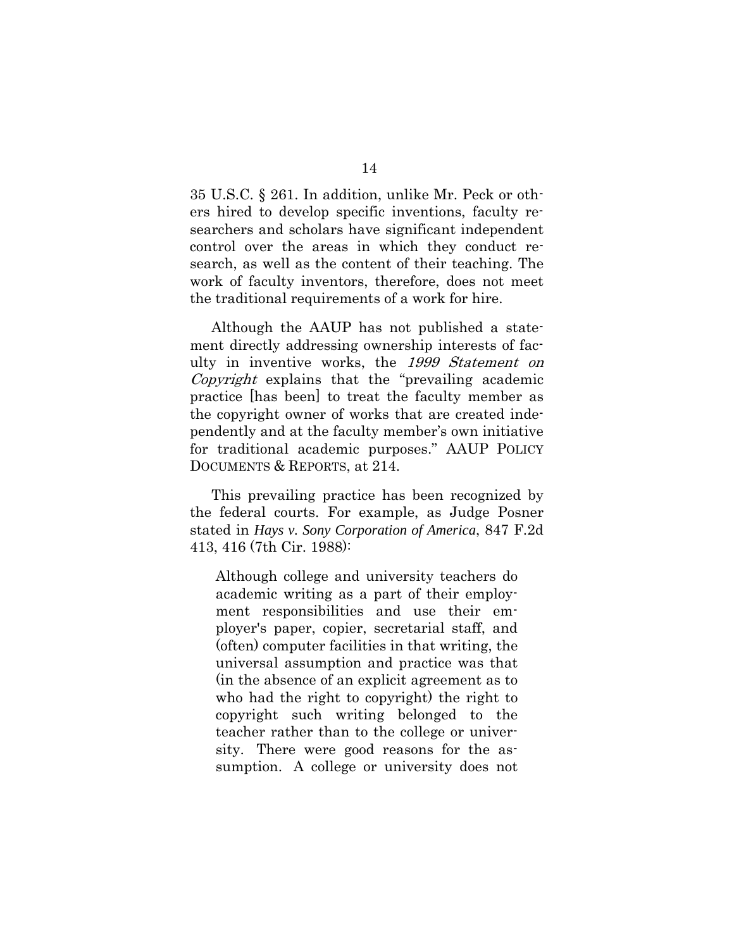35 U.S.C. § 261. In addition, unlike Mr. Peck or others hired to develop specific inventions, faculty researchers and scholars have significant independent control over the areas in which they conduct research, as well as the content of their teaching. The work of faculty inventors, therefore, does not meet the traditional requirements of a work for hire.

Although the AAUP has not published a statement directly addressing ownership interests of faculty in inventive works, the 1999 Statement on Copyright explains that the "prevailing academic practice [has been] to treat the faculty member as the copyright owner of works that are created independently and at the faculty member's own initiative for traditional academic purposes." AAUP POLICY DOCUMENTS & REPORTS, at 214.

This prevailing practice has been recognized by the federal courts. For example, as Judge Posner stated in *Hays v. Sony Corporation of America*, 847 F.2d 413, 416 (7th Cir. 1988):

Although college and university teachers do academic writing as a part of their employment responsibilities and use their employer's paper, copier, secretarial staff, and (often) computer facilities in that writing, the universal assumption and practice was that (in the absence of an explicit agreement as to who had the right to copyright) the right to copyright such writing belonged to the teacher rather than to the college or university. There were good reasons for the assumption. A college or university does not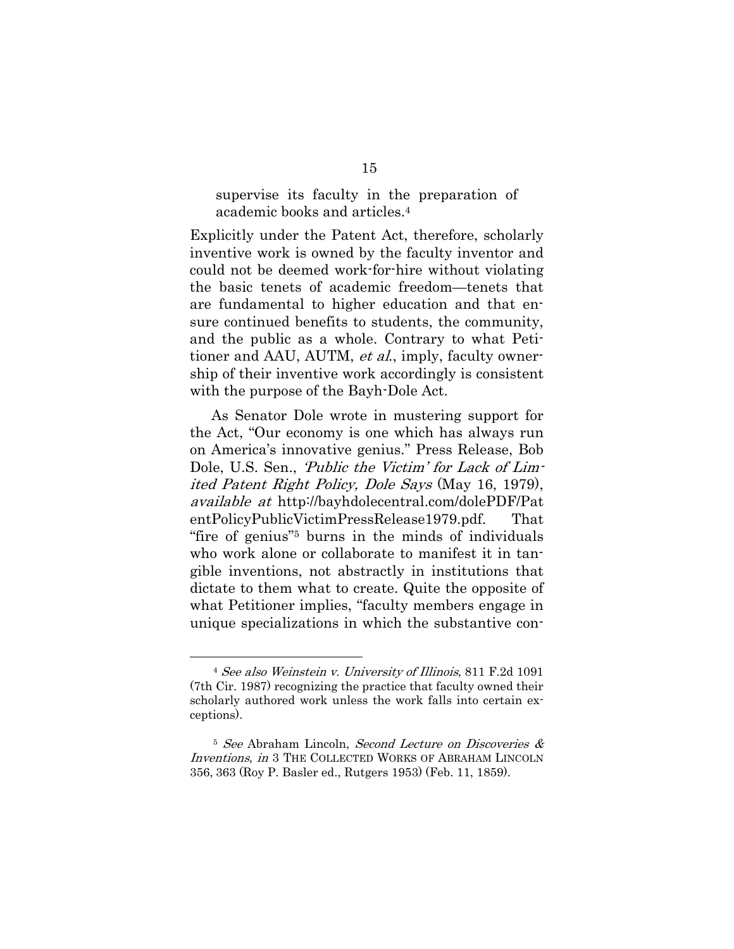supervise its faculty in the preparation of academic books and articles.4

Explicitly under the Patent Act, therefore, scholarly inventive work is owned by the faculty inventor and could not be deemed work-for-hire without violating the basic tenets of academic freedom—tenets that are fundamental to higher education and that ensure continued benefits to students, the community, and the public as a whole. Contrary to what Petitioner and AAU, AUTM, *et al.*, imply, faculty ownership of their inventive work accordingly is consistent with the purpose of the Bayh-Dole Act.

As Senator Dole wrote in mustering support for the Act, "Our economy is one which has always run on America's innovative genius." Press Release, Bob Dole, U.S. Sen., 'Public the Victim' for Lack of Limited Patent Right Policy, Dole Says (May 16, 1979), available at http://bayhdolecentral.com/dolePDF/Pat entPolicyPublicVictimPressRelease1979.pdf. That "fire of genius"5 burns in the minds of individuals who work alone or collaborate to manifest it in tangible inventions, not abstractly in institutions that dictate to them what to create. Quite the opposite of what Petitioner implies, "faculty members engage in unique specializations in which the substantive con-

l

<sup>4</sup> See also Weinstein v. University of Illinois, 811 F.2d 1091 (7th Cir. 1987) recognizing the practice that faculty owned their scholarly authored work unless the work falls into certain exceptions).

<sup>5</sup> See Abraham Lincoln, Second Lecture on Discoveries & Inventions, in 3 THE COLLECTED WORKS OF ABRAHAM LINCOLN 356, 363 (Roy P. Basler ed., Rutgers 1953) (Feb. 11, 1859).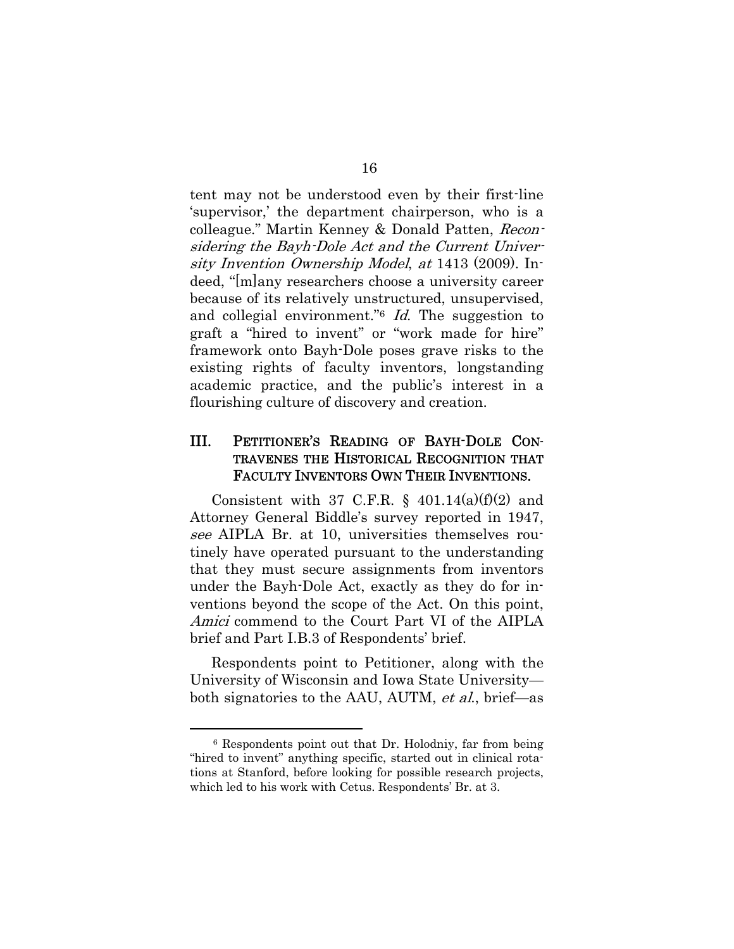tent may not be understood even by their first-line 'supervisor,' the department chairperson, who is a colleague." Martin Kenney & Donald Patten, Reconsidering the Bayh-Dole Act and the Current University Invention Ownership Model, at 1413 (2009). Indeed, "[m]any researchers choose a university career because of its relatively unstructured, unsupervised, and collegial environment." $6$  *Id*. The suggestion to graft a "hired to invent" or "work made for hire" framework onto Bayh-Dole poses grave risks to the existing rights of faculty inventors, longstanding academic practice, and the public's interest in a flourishing culture of discovery and creation.

## III. PETITIONER'S READING OF BAYH-DOLE CON-TRAVENES THE HISTORICAL RECOGNITION THAT FACULTY INVENTORS OWN THEIR INVENTIONS.

Consistent with 37 C.F.R.  $\S$  401.14(a)(f)(2) and Attorney General Biddle's survey reported in 1947, see AIPLA Br. at 10, universities themselves routinely have operated pursuant to the understanding that they must secure assignments from inventors under the Bayh-Dole Act, exactly as they do for inventions beyond the scope of the Act. On this point, Amici commend to the Court Part VI of the AIPLA brief and Part I.B.3 of Respondents' brief.

Respondents point to Petitioner, along with the University of Wisconsin and Iowa State University both signatories to the AAU, AUTM, et al., brief—as

 $\overline{a}$ 

<sup>6</sup> Respondents point out that Dr. Holodniy, far from being "hired to invent" anything specific, started out in clinical rotations at Stanford, before looking for possible research projects, which led to his work with Cetus. Respondents' Br. at 3.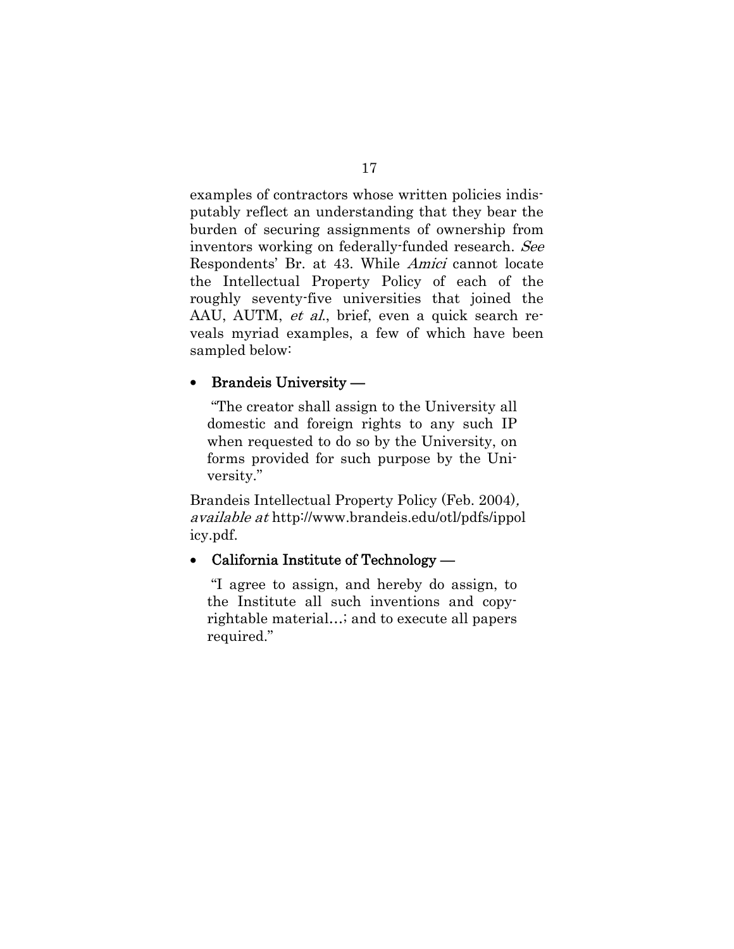examples of contractors whose written policies indisputably reflect an understanding that they bear the burden of securing assignments of ownership from inventors working on federally-funded research. See Respondents' Br. at 43. While Amici cannot locate the Intellectual Property Policy of each of the roughly seventy-five universities that joined the AAU, AUTM, et al., brief, even a quick search reveals myriad examples, a few of which have been sampled below:

### • Brandeis University —

 "The creator shall assign to the University all domestic and foreign rights to any such IP when requested to do so by the University, on forms provided for such purpose by the University."

Brandeis Intellectual Property Policy (Feb. 2004), available at http://www.brandeis.edu/otl/pdfs/ippol icy.pdf.

#### • California Institute of Technology —

 "I agree to assign, and hereby do assign, to the Institute all such inventions and copyrightable material…; and to execute all papers required."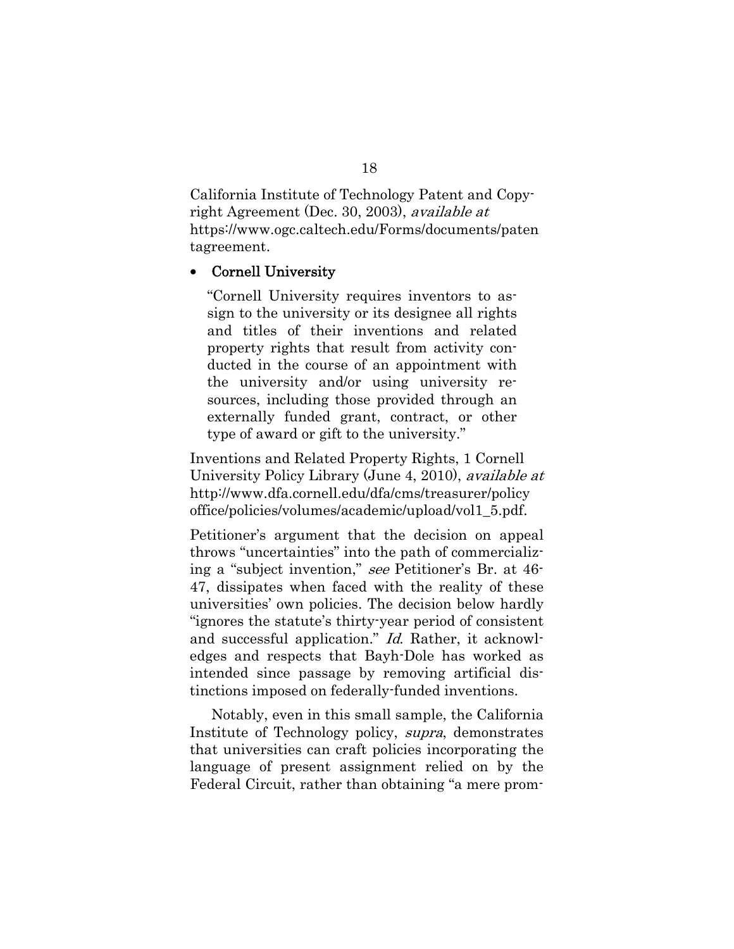California Institute of Technology Patent and Copyright Agreement (Dec. 30, 2003), available at https://www.ogc.caltech.edu/Forms/documents/paten tagreement.

#### Cornell University

"Cornell University requires inventors to assign to the university or its designee all rights and titles of their inventions and related property rights that result from activity conducted in the course of an appointment with the university and/or using university resources, including those provided through an externally funded grant, contract, or other type of award or gift to the university."

Inventions and Related Property Rights, 1 Cornell University Policy Library (June 4, 2010), available at http://www.dfa.cornell.edu/dfa/cms/treasurer/policy office/policies/volumes/academic/upload/vol1\_5.pdf.

Petitioner's argument that the decision on appeal throws "uncertainties" into the path of commercializing a "subject invention," see Petitioner's Br. at 46- 47, dissipates when faced with the reality of these universities' own policies. The decision below hardly "ignores the statute's thirty-year period of consistent and successful application." Id. Rather, it acknowledges and respects that Bayh-Dole has worked as intended since passage by removing artificial distinctions imposed on federally-funded inventions.

Notably, even in this small sample, the California Institute of Technology policy, supra, demonstrates that universities can craft policies incorporating the language of present assignment relied on by the Federal Circuit, rather than obtaining "a mere prom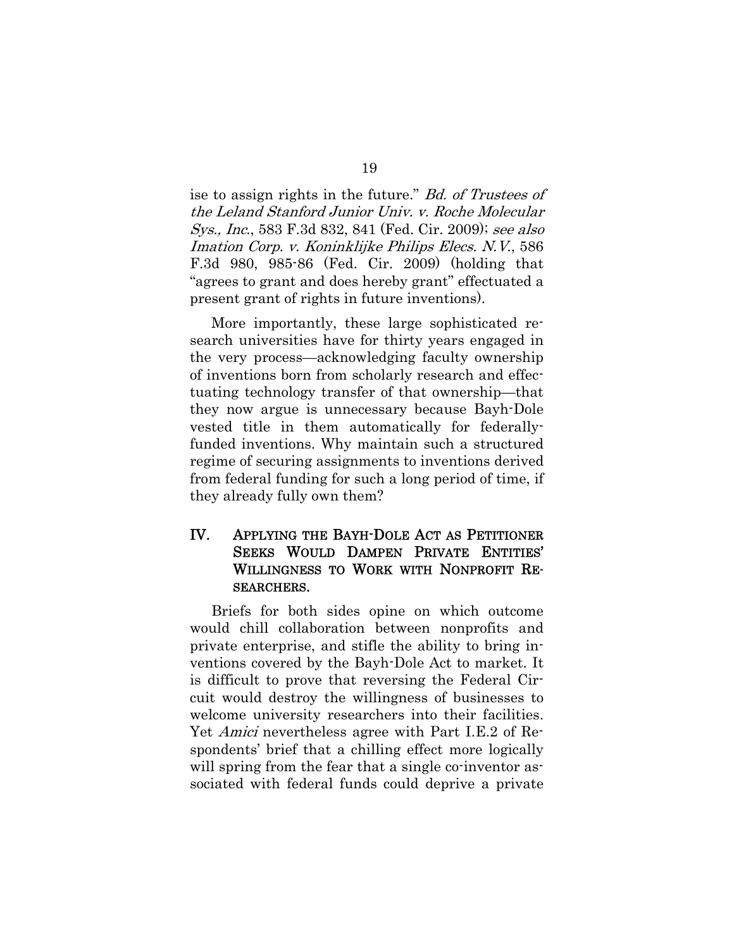ise to assign rights in the future." Bd. of Trustees of the Leland Stanford Junior Univ. v. Roche Molecular Sys., Inc., 583 F.3d 832, 841 (Fed. Cir. 2009); see also Imation Corp. v. Koninklijke Philips Elecs. N.V., 586 F.3d 980, 985-86 (Fed. Cir. 2009) (holding that "agrees to grant and does hereby grant" effectuated a present grant of rights in future inventions).

More importantly, these large sophisticated research universities have for thirty years engaged in the very process—acknowledging faculty ownership of inventions born from scholarly research and effectuating technology transfer of that ownership—that they now argue is unnecessary because Bayh-Dole vested title in them automatically for federallyfunded inventions. Why maintain such a structured regime of securing assignments to inventions derived from federal funding for such a long period of time, if they already fully own them?

### IV. APPLYING THE BAYH-DOLE ACT AS PETITIONER SEEKS WOULD DAMPEN PRIVATE ENTITIES' WILLINGNESS TO WORK WITH NONPROFIT RE-SEARCHERS.

Briefs for both sides opine on which outcome would chill collaboration between nonprofits and private enterprise, and stifle the ability to bring inventions covered by the Bayh-Dole Act to market. It is difficult to prove that reversing the Federal Circuit would destroy the willingness of businesses to welcome university researchers into their facilities. Yet Amici nevertheless agree with Part I.E.2 of Respondents' brief that a chilling effect more logically will spring from the fear that a single co-inventor associated with federal funds could deprive a private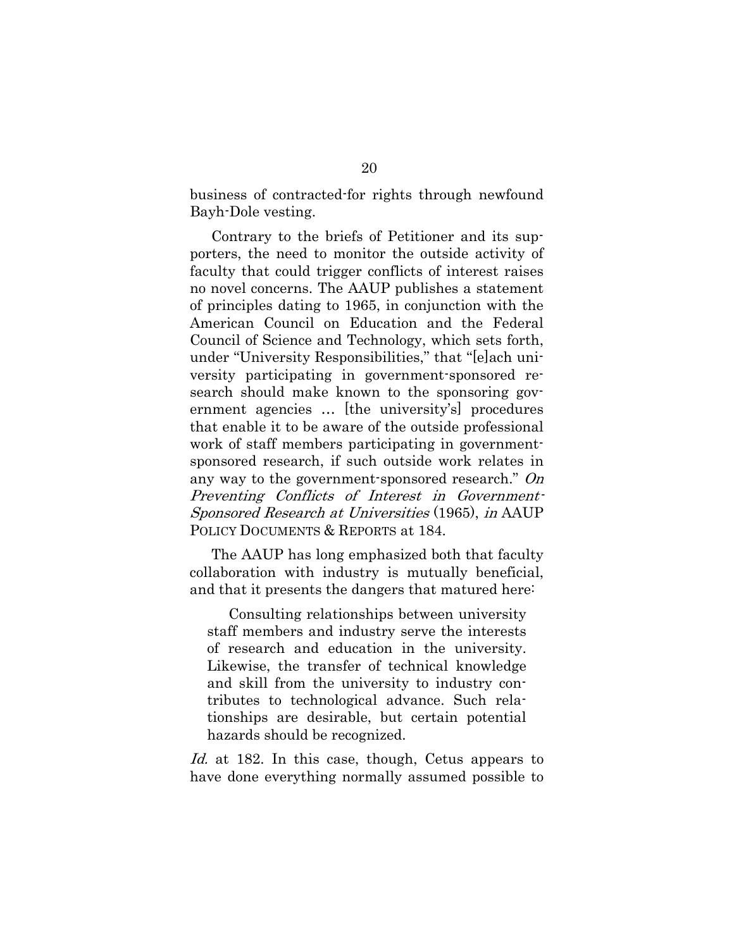business of contracted-for rights through newfound Bayh-Dole vesting.

Contrary to the briefs of Petitioner and its supporters, the need to monitor the outside activity of faculty that could trigger conflicts of interest raises no novel concerns. The AAUP publishes a statement of principles dating to 1965, in conjunction with the American Council on Education and the Federal Council of Science and Technology, which sets forth, under "University Responsibilities," that "[e]ach university participating in government-sponsored research should make known to the sponsoring government agencies … [the university's] procedures that enable it to be aware of the outside professional work of staff members participating in governmentsponsored research, if such outside work relates in any way to the government-sponsored research." On Preventing Conflicts of Interest in Government-Sponsored Research at Universities (1965), in AAUP POLICY DOCUMENTS & REPORTS at 184.

The AAUP has long emphasized both that faculty collaboration with industry is mutually beneficial, and that it presents the dangers that matured here:

Consulting relationships between university staff members and industry serve the interests of research and education in the university. Likewise, the transfer of technical knowledge and skill from the university to industry contributes to technological advance. Such relationships are desirable, but certain potential hazards should be recognized.

Id. at 182. In this case, though, Cetus appears to have done everything normally assumed possible to